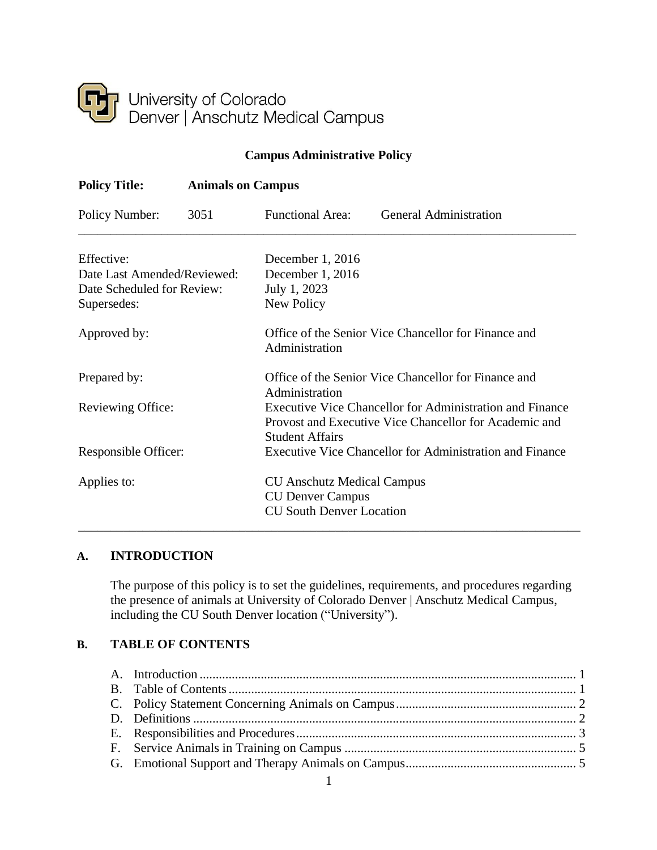

# **Campus Administrative Policy**

| <b>Policy Title:</b>                                                                   | <b>Animals on Campus</b> |                                                                                                 |                                                                                                                           |  |
|----------------------------------------------------------------------------------------|--------------------------|-------------------------------------------------------------------------------------------------|---------------------------------------------------------------------------------------------------------------------------|--|
| Policy Number:                                                                         | 3051                     | <b>Functional Area:</b>                                                                         | <b>General Administration</b>                                                                                             |  |
| Effective:<br>Date Last Amended/Reviewed:<br>Date Scheduled for Review:<br>Supersedes: |                          | December 1, 2016<br>December 1, 2016<br>July 1, 2023<br>New Policy                              |                                                                                                                           |  |
| Approved by:                                                                           |                          | Office of the Senior Vice Chancellor for Finance and<br>Administration                          |                                                                                                                           |  |
| Prepared by:                                                                           |                          | Office of the Senior Vice Chancellor for Finance and<br>Administration                          |                                                                                                                           |  |
| Reviewing Office:                                                                      |                          | <b>Student Affairs</b>                                                                          | <b>Executive Vice Chancellor for Administration and Finance</b><br>Provost and Executive Vice Chancellor for Academic and |  |
| Responsible Officer:                                                                   |                          |                                                                                                 | <b>Executive Vice Chancellor for Administration and Finance</b>                                                           |  |
| Applies to:                                                                            |                          | <b>CU Anschutz Medical Campus</b><br><b>CU Denver Campus</b><br><b>CU South Denver Location</b> |                                                                                                                           |  |

### <span id="page-0-0"></span>**A. INTRODUCTION**

The purpose of this policy is to set the guidelines, requirements, and procedures regarding the presence of animals at University of Colorado Denver | Anschutz Medical Campus, including the CU South Denver location ("University").

# <span id="page-0-1"></span>**B. TABLE OF CONTENTS**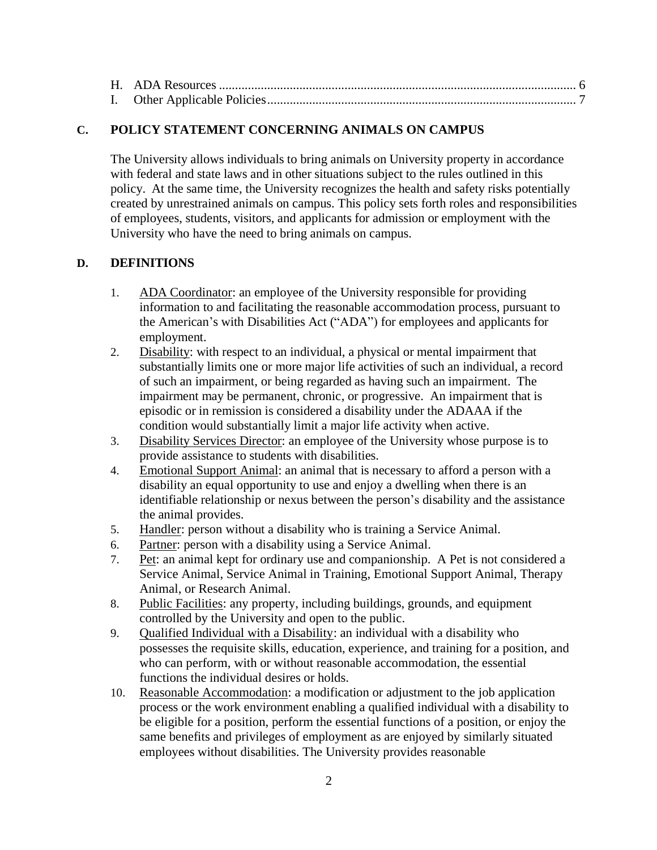### <span id="page-1-0"></span>**C. POLICY STATEMENT CONCERNING ANIMALS ON CAMPUS**

The University allows individuals to bring animals on University property in accordance with federal and state laws and in other situations subject to the rules outlined in this policy. At the same time, the University recognizes the health and safety risks potentially created by unrestrained animals on campus. This policy sets forth roles and responsibilities of employees, students, visitors, and applicants for admission or employment with the University who have the need to bring animals on campus.

# <span id="page-1-1"></span>**D. DEFINITIONS**

- 1. ADA Coordinator: an employee of the University responsible for providing information to and facilitating the reasonable accommodation process, pursuant to the American's with Disabilities Act ("ADA") for employees and applicants for employment.
- 2. Disability: with respect to an individual, a physical or mental impairment that substantially limits one or more major life activities of such an individual, a record of such an impairment, or being regarded as having such an impairment. The impairment may be permanent, chronic, or progressive. An impairment that is episodic or in remission is considered a disability under the ADAAA if the condition would substantially limit a major life activity when active.
- 3. Disability Services Director: an employee of the University whose purpose is to provide assistance to students with disabilities.
- 4. Emotional Support Animal: an animal that is necessary to afford a person with a disability an equal opportunity to use and enjoy a dwelling when there is an identifiable relationship or nexus between the person's disability and the assistance the animal provides.
- 5. Handler: person without a disability who is training a Service Animal.
- 6. Partner: person with a disability using a Service Animal.
- 7. Pet: an animal kept for ordinary use and companionship. A Pet is not considered a Service Animal, Service Animal in Training, Emotional Support Animal, Therapy Animal, or Research Animal.
- 8. Public Facilities: any property, including buildings, grounds, and equipment controlled by the University and open to the public.
- 9. Qualified Individual with a Disability: an individual with a disability who possesses the requisite skills, education, experience, and training for a position, and who can perform, with or without reasonable accommodation, the essential functions the individual desires or holds.
- 10. Reasonable Accommodation: a modification or adjustment to the job application process or the work environment enabling a qualified individual with a disability to be eligible for a position, perform the essential functions of a position, or enjoy the same benefits and privileges of employment as are enjoyed by similarly situated employees without disabilities. The University provides reasonable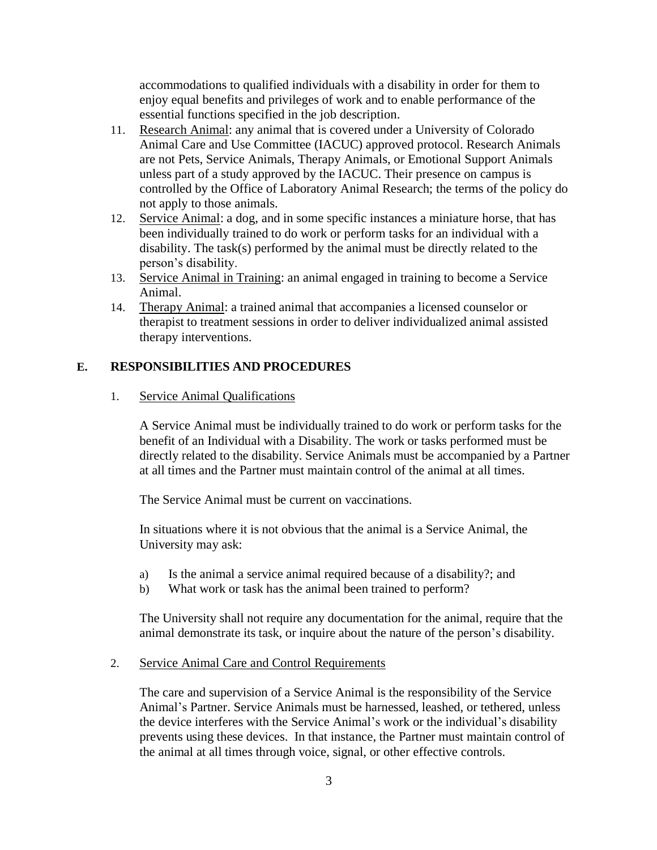accommodations to qualified individuals with a disability in order for them to enjoy equal benefits and privileges of work and to enable performance of the essential functions specified in the job description.

- 11. Research Animal: any animal that is covered under a University of Colorado Animal Care and Use Committee (IACUC) approved protocol. Research Animals are not Pets, Service Animals, Therapy Animals, or Emotional Support Animals unless part of a study approved by the IACUC. Their presence on campus is controlled by the Office of Laboratory Animal Research; the terms of the policy do not apply to those animals.
- 12. Service Animal: a dog, and in some specific instances a miniature horse, that has been individually trained to do work or perform tasks for an individual with a disability. The task(s) performed by the animal must be directly related to the person's disability.
- 13. Service Animal in Training: an animal engaged in training to become a Service Animal.
- 14. Therapy Animal: a trained animal that accompanies a licensed counselor or therapist to treatment sessions in order to deliver individualized animal assisted therapy interventions.

### <span id="page-2-0"></span>**E. RESPONSIBILITIES AND PROCEDURES**

### 1. Service Animal Qualifications

A Service Animal must be individually trained to do work or perform tasks for the benefit of an Individual with a Disability. The work or tasks performed must be directly related to the disability. Service Animals must be accompanied by a Partner at all times and the Partner must maintain control of the animal at all times.

The Service Animal must be current on vaccinations.

In situations where it is not obvious that the animal is a Service Animal, the University may ask:

- a) Is the animal a service animal required because of a disability?; and
- b) What work or task has the animal been trained to perform?

The University shall not require any documentation for the animal, require that the animal demonstrate its task, or inquire about the nature of the person's disability.

#### 2. Service Animal Care and Control Requirements

The care and supervision of a Service Animal is the responsibility of the Service Animal's Partner. Service Animals must be harnessed, leashed, or tethered, unless the device interferes with the Service Animal's work or the individual's disability prevents using these devices. In that instance, the Partner must maintain control of the animal at all times through voice, signal, or other effective controls.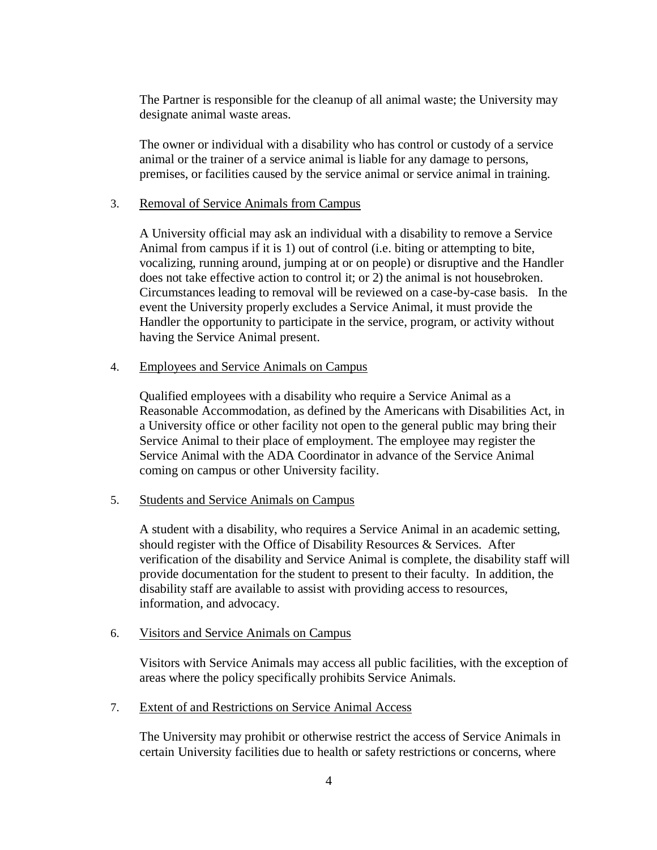The Partner is responsible for the cleanup of all animal waste; the University may designate animal waste areas.

The owner or individual with a disability who has control or custody of a service animal or the trainer of a service animal is liable for any damage to persons, premises, or facilities caused by the service animal or service animal in training.

#### 3. Removal of Service Animals from Campus

A University official may ask an individual with a disability to remove a Service Animal from campus if it is 1) out of control (i.e. biting or attempting to bite, vocalizing, running around, jumping at or on people) or disruptive and the Handler does not take effective action to control it; or 2) the animal is not housebroken. Circumstances leading to removal will be reviewed on a case-by-case basis. In the event the University properly excludes a Service Animal, it must provide the Handler the opportunity to participate in the service, program, or activity without having the Service Animal present.

#### 4. Employees and Service Animals on Campus

Qualified employees with a disability who require a Service Animal as a Reasonable Accommodation, as defined by the Americans with Disabilities Act, in a University office or other facility not open to the general public may bring their Service Animal to their place of employment. The employee may register the Service Animal with the ADA Coordinator in advance of the Service Animal coming on campus or other University facility.

### 5. Students and Service Animals on Campus

A student with a disability, who requires a Service Animal in an academic setting, should register with the Office of Disability Resources & Services. After verification of the disability and Service Animal is complete, the disability staff will provide documentation for the student to present to their faculty. In addition, the disability staff are available to assist with providing access to resources, information, and advocacy.

#### 6. Visitors and Service Animals on Campus

Visitors with Service Animals may access all public facilities, with the exception of areas where the policy specifically prohibits Service Animals.

#### 7. Extent of and Restrictions on Service Animal Access

The University may prohibit or otherwise restrict the access of Service Animals in certain University facilities due to health or safety restrictions or concerns, where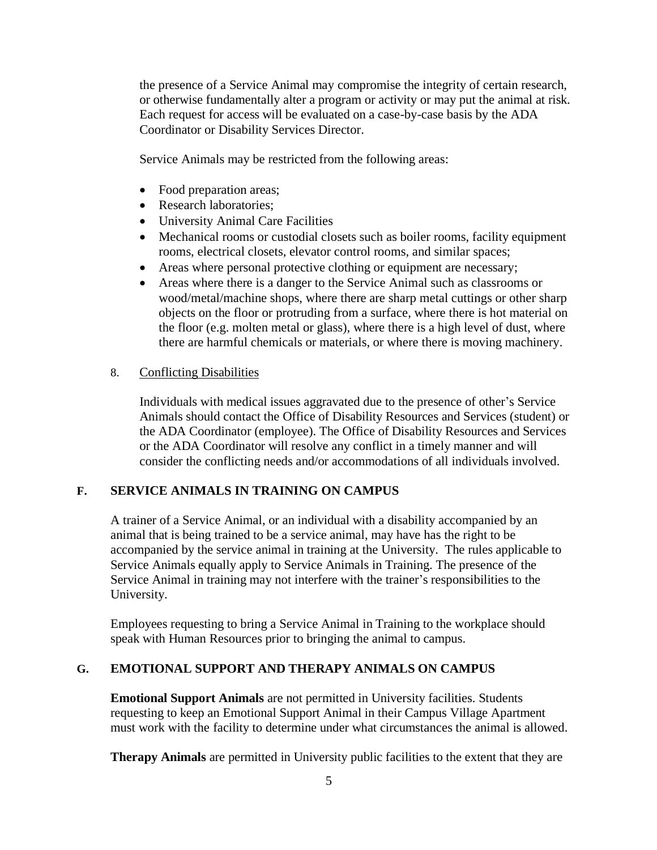the presence of a Service Animal may compromise the integrity of certain research, or otherwise fundamentally alter a program or activity or may put the animal at risk. Each request for access will be evaluated on a case-by-case basis by the ADA Coordinator or Disability Services Director.

Service Animals may be restricted from the following areas:

- Food preparation areas;
- Research laboratories;
- University Animal Care Facilities
- Mechanical rooms or custodial closets such as boiler rooms, facility equipment rooms, electrical closets, elevator control rooms, and similar spaces;
- Areas where personal protective clothing or equipment are necessary;
- Areas where there is a danger to the Service Animal such as classrooms or wood/metal/machine shops, where there are sharp metal cuttings or other sharp objects on the floor or protruding from a surface, where there is hot material on the floor (e.g. molten metal or glass), where there is a high level of dust, where there are harmful chemicals or materials, or where there is moving machinery.

#### 8. Conflicting Disabilities

Individuals with medical issues aggravated due to the presence of other's Service Animals should contact the Office of Disability Resources and Services (student) or the ADA Coordinator (employee). The Office of Disability Resources and Services or the ADA Coordinator will resolve any conflict in a timely manner and will consider the conflicting needs and/or accommodations of all individuals involved.

### <span id="page-4-0"></span>**F. SERVICE ANIMALS IN TRAINING ON CAMPUS**

A trainer of a Service Animal, or an individual with a disability accompanied by an animal that is being trained to be a service animal, may have has the right to be accompanied by the service animal in training at the University. The rules applicable to Service Animals equally apply to Service Animals in Training. The presence of the Service Animal in training may not interfere with the trainer's responsibilities to the University.

Employees requesting to bring a Service Animal in Training to the workplace should speak with Human Resources prior to bringing the animal to campus.

### <span id="page-4-1"></span>**G. EMOTIONAL SUPPORT AND THERAPY ANIMALS ON CAMPUS**

**Emotional Support Animals** are not permitted in University facilities. Students requesting to keep an Emotional Support Animal in their Campus Village Apartment must work with the facility to determine under what circumstances the animal is allowed.

**Therapy Animals** are permitted in University public facilities to the extent that they are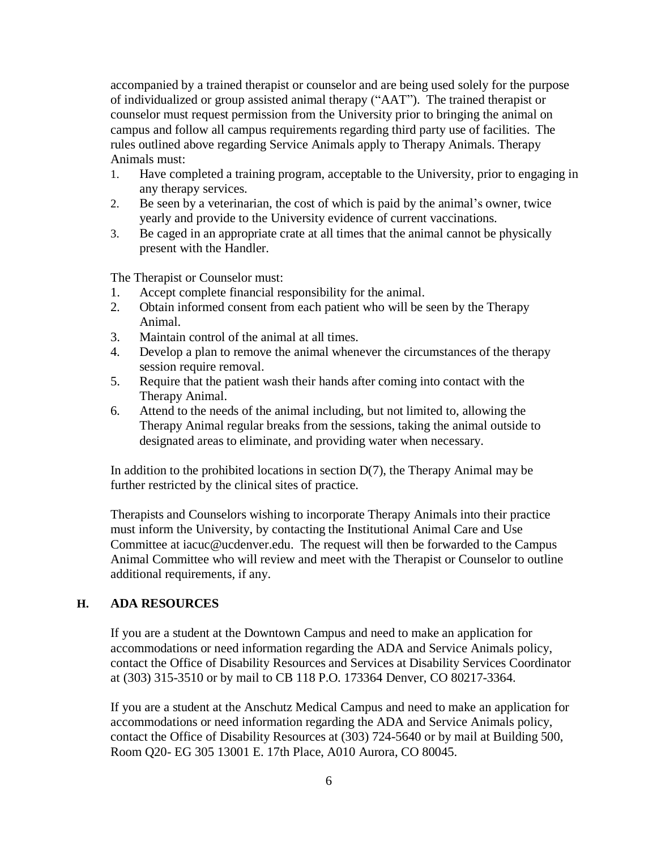accompanied by a trained therapist or counselor and are being used solely for the purpose of individualized or group assisted animal therapy ("AAT"). The trained therapist or counselor must request permission from the University prior to bringing the animal on campus and follow all campus requirements regarding third party use of facilities. The rules outlined above regarding Service Animals apply to Therapy Animals. Therapy Animals must:

- 1. Have completed a training program, acceptable to the University, prior to engaging in any therapy services.
- 2. Be seen by a veterinarian, the cost of which is paid by the animal's owner, twice yearly and provide to the University evidence of current vaccinations.
- 3. Be caged in an appropriate crate at all times that the animal cannot be physically present with the Handler.

The Therapist or Counselor must:

- 1. Accept complete financial responsibility for the animal.
- 2. Obtain informed consent from each patient who will be seen by the Therapy Animal.
- 3. Maintain control of the animal at all times.
- 4. Develop a plan to remove the animal whenever the circumstances of the therapy session require removal.
- 5. Require that the patient wash their hands after coming into contact with the Therapy Animal.
- 6. Attend to the needs of the animal including, but not limited to, allowing the Therapy Animal regular breaks from the sessions, taking the animal outside to designated areas to eliminate, and providing water when necessary.

In addition to the prohibited locations in section  $D(7)$ , the Therapy Animal may be further restricted by the clinical sites of practice.

Therapists and Counselors wishing to incorporate Therapy Animals into their practice must inform the University, by contacting the Institutional Animal Care and Use Committee at iacuc@ucdenver.edu. The request will then be forwarded to the Campus Animal Committee who will review and meet with the Therapist or Counselor to outline additional requirements, if any.

#### <span id="page-5-0"></span>**H. ADA RESOURCES**

If you are a student at the Downtown Campus and need to make an application for accommodations or need information regarding the ADA and Service Animals policy, contact the Office of Disability Resources and Services at Disability Services Coordinator at (303) 315-3510 or by mail to CB 118 P.O. 173364 Denver, CO 80217-3364.

If you are a student at the Anschutz Medical Campus and need to make an application for accommodations or need information regarding the ADA and Service Animals policy, contact the Office of Disability Resources at (303) 724-5640 or by mail at Building 500, Room Q20- EG 305 13001 E. 17th Place, A010 Aurora, CO 80045.